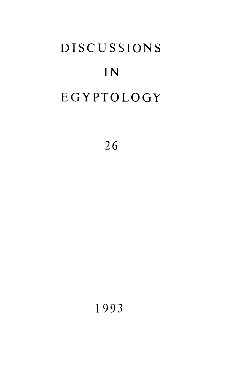# **DISCUSSIONS** IN EGYPTOLOGY

26

1993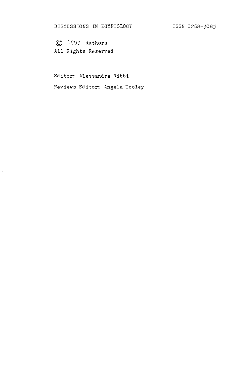**© 1993** Authors All Rights Reserved

Editor: Alessandra Nibbi Reviews Editor: Angela Tooley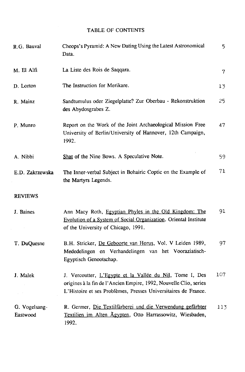## **TABLE OF CONTENTS**

| R.G. Bauval               | Cheops's Pyramid: A New Dating Using the Latest Astronomical<br>Data.                                                                                                                           | 5              |
|---------------------------|-------------------------------------------------------------------------------------------------------------------------------------------------------------------------------------------------|----------------|
| M. El Alfi                | La Liste des Rois de Saqqara.                                                                                                                                                                   | $\overline{7}$ |
| D. Lorton                 | The Instruction for Merikare.                                                                                                                                                                   | 13             |
| R. Mainz                  | Sandtumulus oder Ziegelplatte? Zur Oberbau - Rekonstruktion<br>des Abydosgrabes Z.                                                                                                              | 25             |
| P. Munro                  | Report on the Work of the Joint Archaeological Mission Free<br>University of Berlin/University of Hannover, 12th Campaign,<br>1992.                                                             | 47             |
| A. Nibbi                  | Shat of the Nine Bows. A Speculative Note.                                                                                                                                                      | 59             |
| E.D. Zakrzewska           | The Inner-verbal Subject in Bohairic Coptic on the Example of<br>the Martyrs Legends.                                                                                                           | 71             |
| <b>REVIEWS</b>            |                                                                                                                                                                                                 |                |
| J. Baines                 | Ann Macy Roth, Egyptian Phyles in the Old Kingdom: The<br>Evolution of a System of Social Organization. Oriental Institute<br>of the University of Chicago, 1991.                               | 91             |
| T. DuQuesne               | B.H. Stricker, De Geboorte van Horus, Vol. V Leiden 1989,<br>Mededelingen en Verhandelingen van het Vooraziatisch-<br>Egyptisch Genootschap.                                                    | 97             |
| J. Malek                  | J. Vercoutter, L'Egypte et la Vallée du Nil, Tome I, Des<br>origines à la fin de l'Ancien Empire, 1992, Nouvelle Clio, series<br>L'Histoire et ses Problèmes, Presses Universitaires de France. | 107            |
| G. Vogelsang-<br>Eastwood | R. Germer, Die Textilfärberei und die Verwendung gefärbter<br>Textilien im Alten Ägypten, Otto Harrassowitz, Wiesbaden,<br>1992.                                                                | 113            |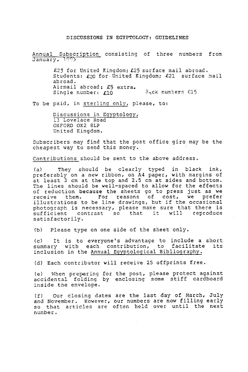#### DISCUSSIONS IN EGYPTOLOGY: GUIDELINES

Annual Subscription consisting of three numbers from January, 1993

> £23 for United Kingdom; £25 surface mail abroad. Students: £20 for United Kingdom; £21 surface mail ab road. Airmail abroad: £5 extra. Single number: £10 B<sub>2</sub>ck numbers £15

To be paid, in sterling only, please, to:

Discussions in Egyptology, 13 Lovelace Road OXFORD 0X2 8LP United Kingdom.

Subscribers may find that the post office giro may be the cheapest way to send this money.

Contributions should be sent to the above address.

Ca) They should be clearly typed in black ink, preferably on a new ribbon, on A4 paper, with margins of at least 3 cm at the top and 2.5 cm at sides and bottom. The lines should be well-spaced to allow for the effects of reduction because the sheets go to press just as we receive them. For reasons of cost, we prefer illustrations to be line drawings, but if the occasional photograph is necessary, please make sure that there is sufficient contrast so that it will reproduce satisfactorily.

(b) Please type on one side of the sheet only.

(c) It is to everyone's advantage to include a short summary with each contribution, to facilitate its inclusion in the Annual Egyptological Bibliography.

(d) Each contributor will receive 25 offprints free.

(e) When preparing for the post, please protect against accidental folding by enclosing some stiff cardboard inside the envelope.

(f) Our closing dates are the last day of March, July and November. However, our numbers are now filling early so that articles are often held over until the next number.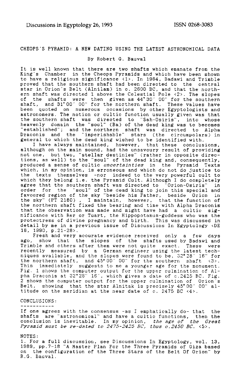### CHEOPS'S PYRAMID: A NEW DATING USING THE LATEST ASTRONOMICAL DATA

#### By Robert G. Bauval

It is well known that there are two shafts which emanate from the King's Chamber in the Cheops Pyramids and which have been shown to have a religious significance <1>. In 1964, Badawi and Trimble proved that the southern shaft had been directed to the central proved that the southern shaft had been directed to the central<br>star in Orion's Belt (Alnilam) in c. 2600 BC, and that the north-<br>ern shaft was directed 1 above the Celestial Pole <2>. The slopes<br>of the shafts were then gi heavenly domain the "soul" (Ba) of the dead king was to becomes "established"; and the northern shaft was directed to Alpha Draconis and the "imperishable" stars (the circumpolars) in general to which the dead king wished to be identified with.

I have always maintained, however, that these conclusions, although on the main sound, had the unsavoury result of providing not one, but two, "stellar destinies" (rather in opposite directions, as well) to the "soul" of the dead king and, consequently, produced a sense of cultic *uncertainties* in the Pyramid Texts which, in my opinion, is erroneous and which do not do justice to the texts themselves -nor indeed to the very powerful cult to which they belong i.e. the Pyramid Cult. Although I do completely agree that the southern shaft was directed to "Orion-Osiris" in order for the "soul" of the dead king to join this special and favoured region of the sky "beside his Father, beside Orion in the sky" (PT 2180) , I maintain, however, that the function of the northern shaft fixed the bearing and time with Alpha Draconis that the observation was made and might have had a cultic significance with Rer or Tuart, the Hippopotamus-goddess who was the protectress of divine pregnancy and birth. This was discussed in detail by me in a previous issue of Discussions In Egyptology <DE 16, 1990, p.21-28>.

Fresh and very accurate evidence received only a few days ago, show that the slopes of the shafts used by Badawi and<br>Trimble and others after them were not quite exact. These were<br>recently measured by a German engineer using the latest tech-<br>niques available, and the slopes were This immediately suggests to me a younger age for the monument.<br>Fig. 1 shows the computer output for the upper culmination of Al-<br>pha Draconis at 32°28″ 16′, which gives a date of c.2425 BC. Fig.<br>2 shows the computer outpu titude on the meridian at the near date of c. 2475 BC <4>.

#### CONCLUSIONS:

#### -----------

If one agrees with the consensus -as I emphatically do- that the shafts are "astronomical" and have a cultic functions, then the conclusion is inevitable. In my opinion, *the age of the Great-Pyramid must be re-dated to 24 75-2425 BC, thus c.2450 BC.* <5>.

#### NOTES:

1. For a full discussion, see Discussions In Egyptology, vol. 13, 1989, pp.7-18 "A Master Plan For the Three Pyramids of Giza based on the configuration of the Three Stars of the Belt Of Orion" by R.G. Bauval.